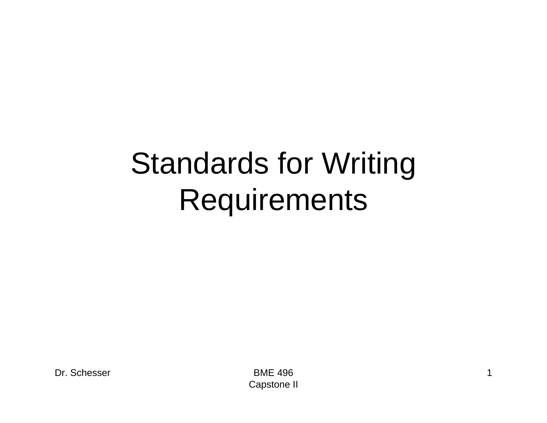#### Standards for Writing **Requirements**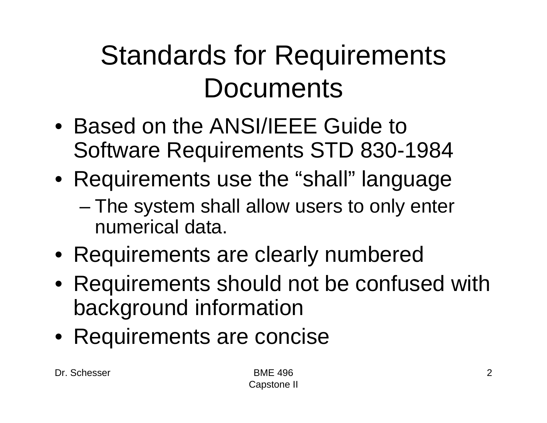#### Standards for Requirements **Documents**

- Based on the ANSI/IEEE Guide to Software Requirements STD 830-1984
- Requirements use the "shall" language
	- – The system shall allow users to only enter numerical data.
- Requirements are clearly numbered
- Requirements should not be confused with background information
- Requirements are concise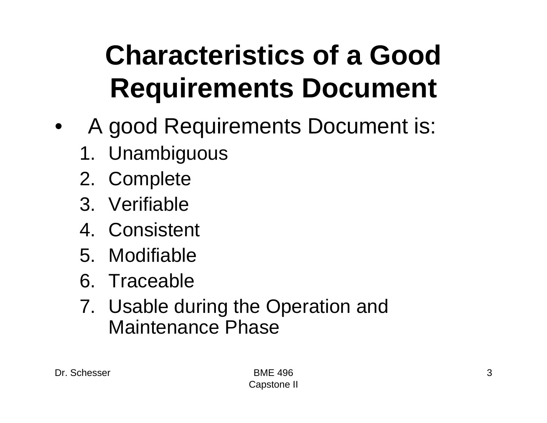#### **Characteristics of a Good Requirements Document**

- $\bullet$  A good Requirements Document is:
	- 1. Unambiguous
	- 2. Complete
	- 3. Verifiable
	- 4. Consistent
	- 5. Modifiable
	- 6. Traceable
	- 7. Usable during the Operation and Maintenance Phase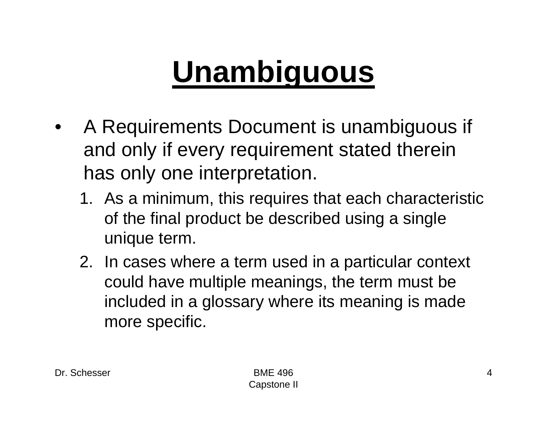## **Unambiguous**

- • A Requirements Document is unambiguous if and only if every requirement stated therein has only one interpretation.
	- 1. As a minimum, this requires that each characteristic of the final product be described using a single unique term.
	- 2. In cases where a term used in a particular context could have multiple meanings, the term must be included in a glossary where its meaning is made more specific.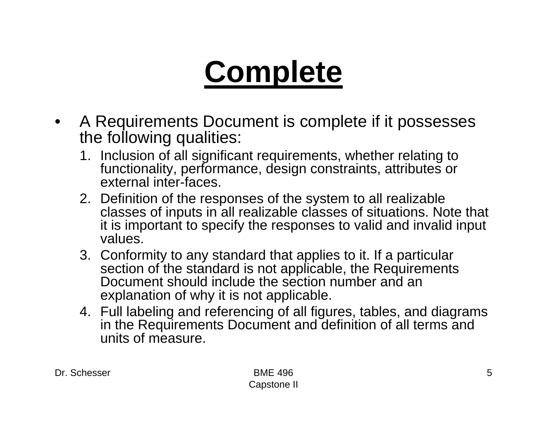## **Complete**

- • A Requirements Document is complete if it possesses the following qualities:
	- 1. Inclusion of all significant requirements, whether relating to functionality, performance, design constraints, attributes or external inter-faces.
	- 2. Definition of the responses of the system to all realizable classes of inputs in all realizable classes of situations. Note that it is important to specify the responses to valid and invalid input values.
	- 3. Conformity to any standard that applies to it. If a particular section of the standard is not applicable, the Requirements Document should include the section number and an explanation of why it is not applicable.
	- 4. Full labeling and referencing of all figures, tables, and diagrams in the Requirements Document and definition of all terms and units of measure.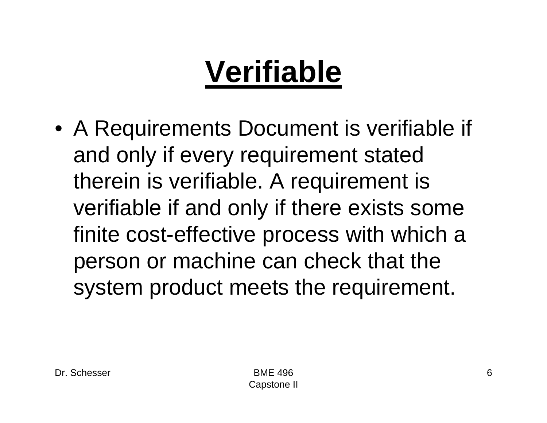# **Verifiable**

• A Requirements Document is verifiable if and only if every requirement stated therein is verifiable. A requirement is verifiable if and only if there exists some finite cost-effective process with which a person or machine can check that the system product meets the requirement.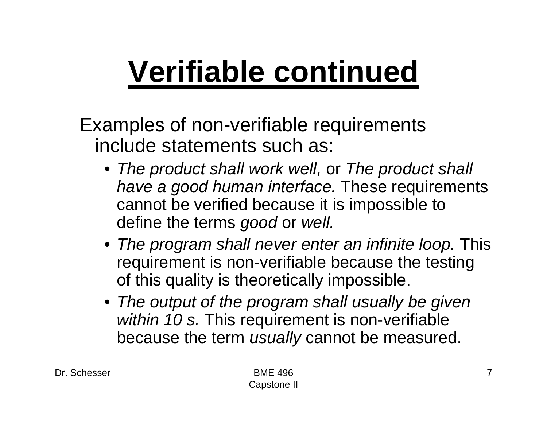# **Verifiable continued**

Examples of non-verifiable requirements include statements such as:

- *The product shall work well,* or *The product shall have a good human interface.* These requirements cannot be verified because it is impossible to define the terms *good* or *well.*
- *The program shall never enter an infinite loop.* This requirement is non-verifiable because the testing of this quality is theoretically impossible.
- *The output of the program shall usually be given within 10 s.* This requirement is non-verifiable because the term *usually* cannot be measured.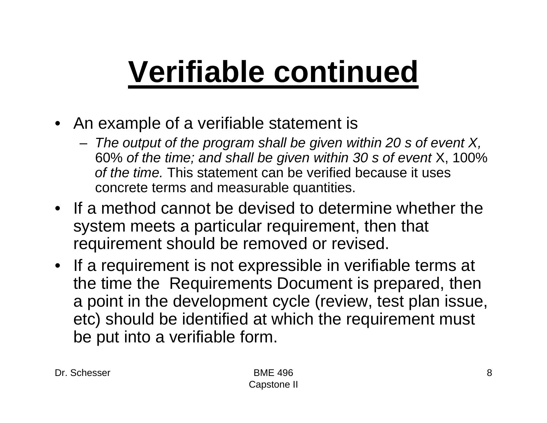## **Verifiable continued**

- An example of a verifiable statement is
	- *The output of the program shall be given within 20 s of event X,* 60% *of the time; and shall be given within 30 s of event* X, 100% *of the time.* This statement can be verified because it uses concrete terms and measurable quantities.
- If a method cannot be devised to determine whether the system meets a particular requirement, then that requirement should be removed or revised.
- If a requirement is not expressible in verifiable terms at the time the Requirements Document is prepared, then a point in the development cycle (review, test plan issue, etc) should be identified at which the requirement must be put into a verifiable form.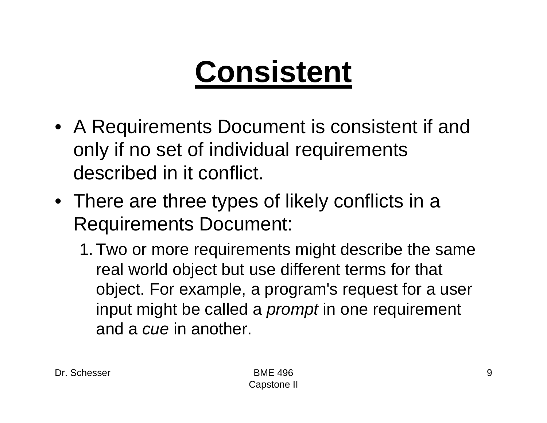## **Consistent**

- A Requirements Document is consistent if and only if no set of individual requirements described in it conflict.
- There are three types of likely conflicts in a Requirements Document:
	- 1. Two or more requirements might describe the same real world object but use different terms for that object. For example, a program's request for a user input might be called a *prompt* in one requirement and a *cue* in another.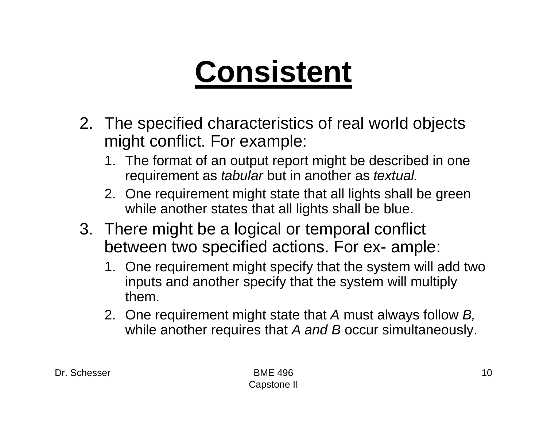## **Consistent**

- 2. The specified characteristics of real world objects might conflict. For example:
	- 1. The format of an output report might be described in one requirement as *tabular* but in another as *textual.*
	- 2. One requirement might state that all lights shall be green while another states that all lights shall be blue.
- 3. There might be a logical or temporal conflict between two specified actions. For ex- ample:
	- 1. One requirement might specify that the system will add two inputs and another specify that the system will multiply them.
	- 2. One requirement might state that *A* must always follow *B,*  while another requires that *A and B* occur simultaneously.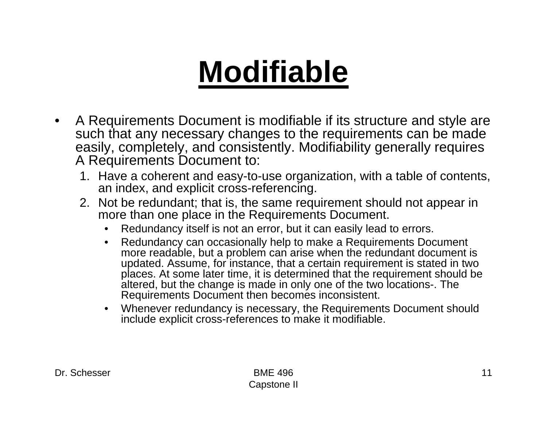### **Modifiable**

- $\bullet$  A Requirements Document is modifiable if its structure and style are such that any necessary changes to the requirements can be made easily, completely, and consistently. Modifiability generally requires A Requirements Document to:
	- 1. Have a coherent and easy-to-use organization, with a table of contents, an index, and explicit cross-referencing.
	- 2. Not be redundant; that is, the same requirement should not appear in more than one place in the Requirements Document.
		- $\bullet$ Redundancy itself is not an error, but it can easily lead to errors.
		- $\bullet$  Redundancy can occasionally help to make a Requirements Document more readable, but a problem can arise when the redundant document is updated. Assume, for instance, that a certain requirement is stated in two places. At some later time, it is determined that the requirement should be altered, but the change is made in only one of the two locations-. The Requirements Document then becomes inconsistent.
		- Whenever redundancy is necessary, the Requirements Document should include explicit cross-references to make it modifiable.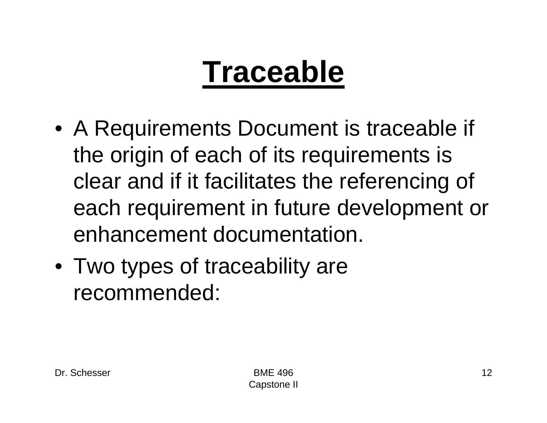### **Traceable**

- A Requirements Document is traceable if the origin of each of its requirements is clear and if it facilitates the referencing of each requirement in future development or enhancement documentation.
- Two types of traceability are recommended: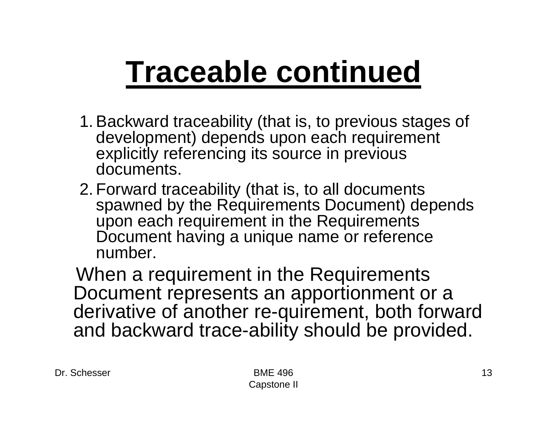#### **Traceable continued**

- 1. Backward traceability (that is, to previous stages of development) depends upon each requirement explicitly referencing its source in previous documents.
- 2. Forward traceability (that is, to all documents spawned by the Requirements Document) depends upon each requirement in the Requirements Document having a unique name or reference number.

When a requirement in the Requirements Document represents an apportionment or a derivative of another re-quirement, both forward and backward trace-ability should be provided.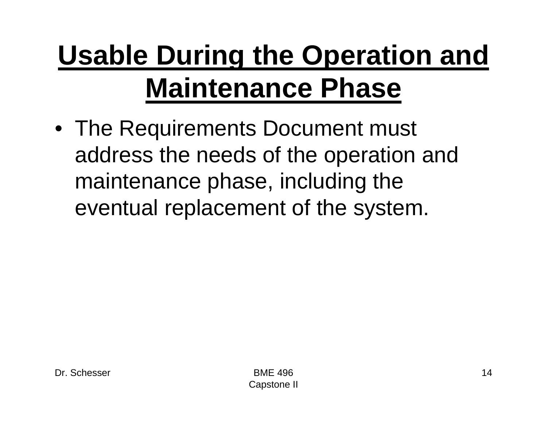#### **Usable During the Operation and Maintenance Phase**

• The Requirements Document must address the needs of the operation and maintenance phase, including the eventual replacement of the system.